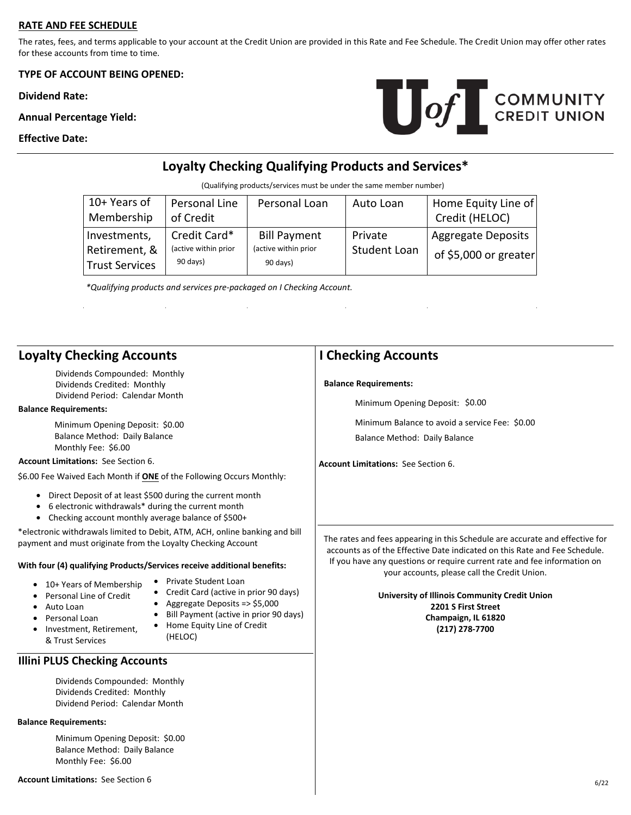## **RATE AND FEE SCHEDULE**

The rates, fees, and terms applicable to your account at the Credit Union are provided in this Rate and Fee Schedule. The Credit Union may offer other rates for these accounts from time to time.

**TYPE OF ACCOUNT BEING OPENED:** 

**Dividend Rate:** 

**Annual Percentage Yield:** 

 $\bar{z}$ 

## **Effective Date:**



# **Loyalty Checking Qualifying Products and Services\***

(Qualifying products/services must be under the same member number)

| $10+$ Years of<br>Membership                    | Personal Line<br>of Credit                       | Personal Loan                                           | Auto Loan               | Home Equity Line of<br>Credit (HELOC)              |
|-------------------------------------------------|--------------------------------------------------|---------------------------------------------------------|-------------------------|----------------------------------------------------|
| Investments,<br>Retirement, &<br>Trust Services | Credit Card*<br>(active within prior<br>90 days) | <b>Bill Payment</b><br>(active within prior<br>90 days) | Private<br>Student Loan | <b>Aggregate Deposits</b><br>of \$5,000 or greater |

 $\ddot{\phantom{a}}$ 

*\*Qualifying products and services pre-packaged on I Checking Account.*

 $\hat{\mathcal{A}}$ 

 $\hat{\mathcal{A}}$ 

| <b>Loyalty Checking Accounts</b>                                                                                                                                                                                                                                                                                                                                                                                                                                                                                                                         | <b>I Checking Accounts</b>                                                                                                                                                                                                                                                                                                                                                                              |  |
|----------------------------------------------------------------------------------------------------------------------------------------------------------------------------------------------------------------------------------------------------------------------------------------------------------------------------------------------------------------------------------------------------------------------------------------------------------------------------------------------------------------------------------------------------------|---------------------------------------------------------------------------------------------------------------------------------------------------------------------------------------------------------------------------------------------------------------------------------------------------------------------------------------------------------------------------------------------------------|--|
| Dividends Compounded: Monthly<br>Dividends Credited: Monthly<br>Dividend Period: Calendar Month                                                                                                                                                                                                                                                                                                                                                                                                                                                          | <b>Balance Requirements:</b>                                                                                                                                                                                                                                                                                                                                                                            |  |
| <b>Balance Requirements:</b>                                                                                                                                                                                                                                                                                                                                                                                                                                                                                                                             | Minimum Opening Deposit: \$0.00                                                                                                                                                                                                                                                                                                                                                                         |  |
| Minimum Opening Deposit: \$0.00<br>Balance Method: Daily Balance<br>Monthly Fee: \$6.00                                                                                                                                                                                                                                                                                                                                                                                                                                                                  | Minimum Balance to avoid a service Fee: \$0.00<br>Balance Method: Daily Balance                                                                                                                                                                                                                                                                                                                         |  |
| <b>Account Limitations: See Section 6.</b>                                                                                                                                                                                                                                                                                                                                                                                                                                                                                                               | <b>Account Limitations: See Section 6.</b>                                                                                                                                                                                                                                                                                                                                                              |  |
| \$6.00 Fee Waived Each Month if ONE of the Following Occurs Monthly:                                                                                                                                                                                                                                                                                                                                                                                                                                                                                     |                                                                                                                                                                                                                                                                                                                                                                                                         |  |
| Direct Deposit of at least \$500 during the current month<br>6 electronic withdrawals* during the current month<br>Checking account monthly average balance of \$500+<br>$\bullet$                                                                                                                                                                                                                                                                                                                                                                       |                                                                                                                                                                                                                                                                                                                                                                                                         |  |
| *electronic withdrawals limited to Debit, ATM, ACH, online banking and bill<br>payment and must originate from the Loyalty Checking Account<br>With four (4) qualifying Products/Services receive additional benefits:<br>• Private Student Loan<br>• 10+ Years of Membership<br>Credit Card (active in prior 90 days)<br>Personal Line of Credit<br>• Aggregate Deposits => \$5,000<br>Auto Loan<br>Bill Payment (active in prior 90 days)<br>Personal Loan<br>• Home Equity Line of Credit<br>• Investment, Retirement,<br>(HELOC)<br>& Trust Services | The rates and fees appearing in this Schedule are accurate and effective for<br>accounts as of the Effective Date indicated on this Rate and Fee Schedule.<br>If you have any questions or require current rate and fee information on<br>your accounts, please call the Credit Union.<br>University of Illinois Community Credit Union<br>2201 S First Street<br>Champaign, IL 61820<br>(217) 278-7700 |  |
| <b>Illini PLUS Checking Accounts</b>                                                                                                                                                                                                                                                                                                                                                                                                                                                                                                                     |                                                                                                                                                                                                                                                                                                                                                                                                         |  |
| Dividends Compounded: Monthly<br>Dividends Credited: Monthly<br>Dividend Period: Calendar Month                                                                                                                                                                                                                                                                                                                                                                                                                                                          |                                                                                                                                                                                                                                                                                                                                                                                                         |  |
| <b>Balance Requirements:</b>                                                                                                                                                                                                                                                                                                                                                                                                                                                                                                                             |                                                                                                                                                                                                                                                                                                                                                                                                         |  |
| Minimum Opening Deposit: \$0.00<br>Balance Method: Daily Balance<br>Monthly Fee: \$6.00                                                                                                                                                                                                                                                                                                                                                                                                                                                                  |                                                                                                                                                                                                                                                                                                                                                                                                         |  |
| <b>Account Limitations: See Section 6</b>                                                                                                                                                                                                                                                                                                                                                                                                                                                                                                                | 6/22                                                                                                                                                                                                                                                                                                                                                                                                    |  |